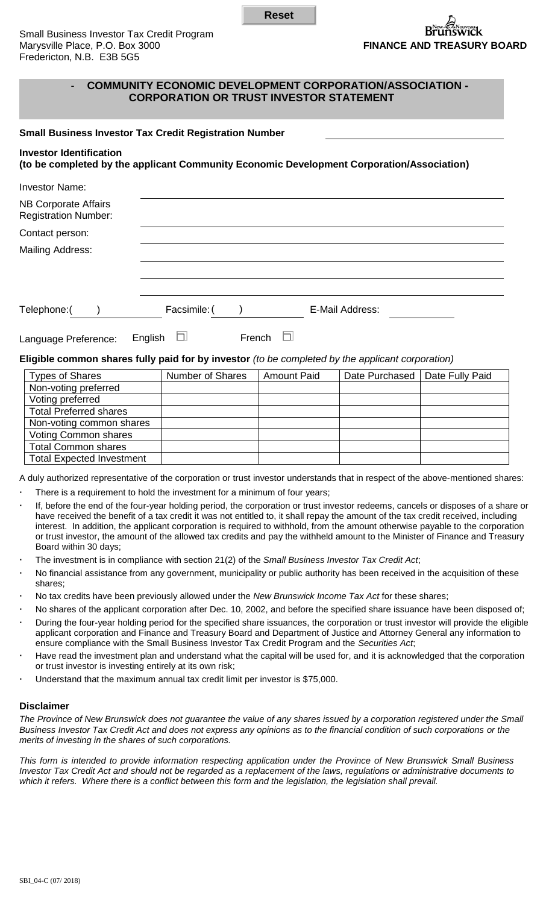**Reset**

## - **COMMUNITY ECONOMIC DEVELOPMENT CORPORATION/ASSOCIATION - CORPORATION OR TRUST INVESTOR STATEMENT**

## **Small Business Investor Tax Credit Registration Number**

# **Investor Identification**

# **(to be completed by the applicant Community Economic Development Corporation/Association)**

| <b>Investor Name:</b>                                      |              |        |                 |  |
|------------------------------------------------------------|--------------|--------|-----------------|--|
| <b>NB Corporate Affairs</b><br><b>Registration Number:</b> |              |        |                 |  |
| Contact person:                                            |              |        |                 |  |
| Mailing Address:                                           |              |        |                 |  |
|                                                            |              |        |                 |  |
|                                                            |              |        |                 |  |
| Telephone:(                                                | Facsimile: ( |        | E-Mail Address: |  |
| Language Preference:                                       | English      | French |                 |  |

#### **Eligible common shares fully paid for by investor** *(to be completed by the applicant corporation)*

| <b>Types of Shares</b>           | <b>Number of Shares</b> | <b>Amount Paid</b> | Date Purchased | Date Fully Paid |
|----------------------------------|-------------------------|--------------------|----------------|-----------------|
| Non-voting preferred             |                         |                    |                |                 |
| Voting preferred                 |                         |                    |                |                 |
| <b>Total Preferred shares</b>    |                         |                    |                |                 |
| Non-voting common shares         |                         |                    |                |                 |
| Voting Common shares             |                         |                    |                |                 |
| <b>Total Common shares</b>       |                         |                    |                |                 |
| <b>Total Expected Investment</b> |                         |                    |                |                 |

A duly authorized representative of the corporation or trust investor understands that in respect of the above-mentioned shares:

- There is a requirement to hold the investment for a minimum of four years;
- If, before the end of the four-year holding period, the corporation or trust investor redeems, cancels or disposes of a share or have received the benefit of a tax credit it was not entitled to, it shall repay the amount of the tax credit received, including interest. In addition, the applicant corporation is required to withhold, from the amount otherwise payable to the corporation or trust investor, the amount of the allowed tax credits and pay the withheld amount to the Minister of Finance and Treasury Board within 30 days;
- The investment is in compliance with section 21(2) of the *Small Business Investor Tax Credit Act*;
- No financial assistance from any government, municipality or public authority has been received in the acquisition of these shares;
- No tax credits have been previously allowed under the *New Brunswick Income Tax Act* for these shares;
- No shares of the applicant corporation after Dec. 10, 2002, and before the specified share issuance have been disposed of;
- During the four-year holding period for the specified share issuances, the corporation or trust investor will provide the eligible applicant corporation and Finance and Treasury Board and Department of Justice and Attorney General any information to ensure compliance with the Small Business Investor Tax Credit Program and the *Securities Act*;
- Have read the investment plan and understand what the capital will be used for, and it is acknowledged that the corporation or trust investor is investing entirely at its own risk;
- Understand that the maximum annual tax credit limit per investor is \$75,000.

## **Disclaimer**

*The Province of New Brunswick does not guarantee the value of any shares issued by a corporation registered under the Small Business Investor Tax Credit Act and does not express any opinions as to the financial condition of such corporations or the merits of investing in the shares of such corporations.*

*This form is intended to provide information respecting application under the Province of New Brunswick Small Business Investor Tax Credit Act and should not be regarded as a replacement of the laws, regulations or administrative documents to which it refers. Where there is a conflict between this form and the legislation, the legislation shall prevail.*